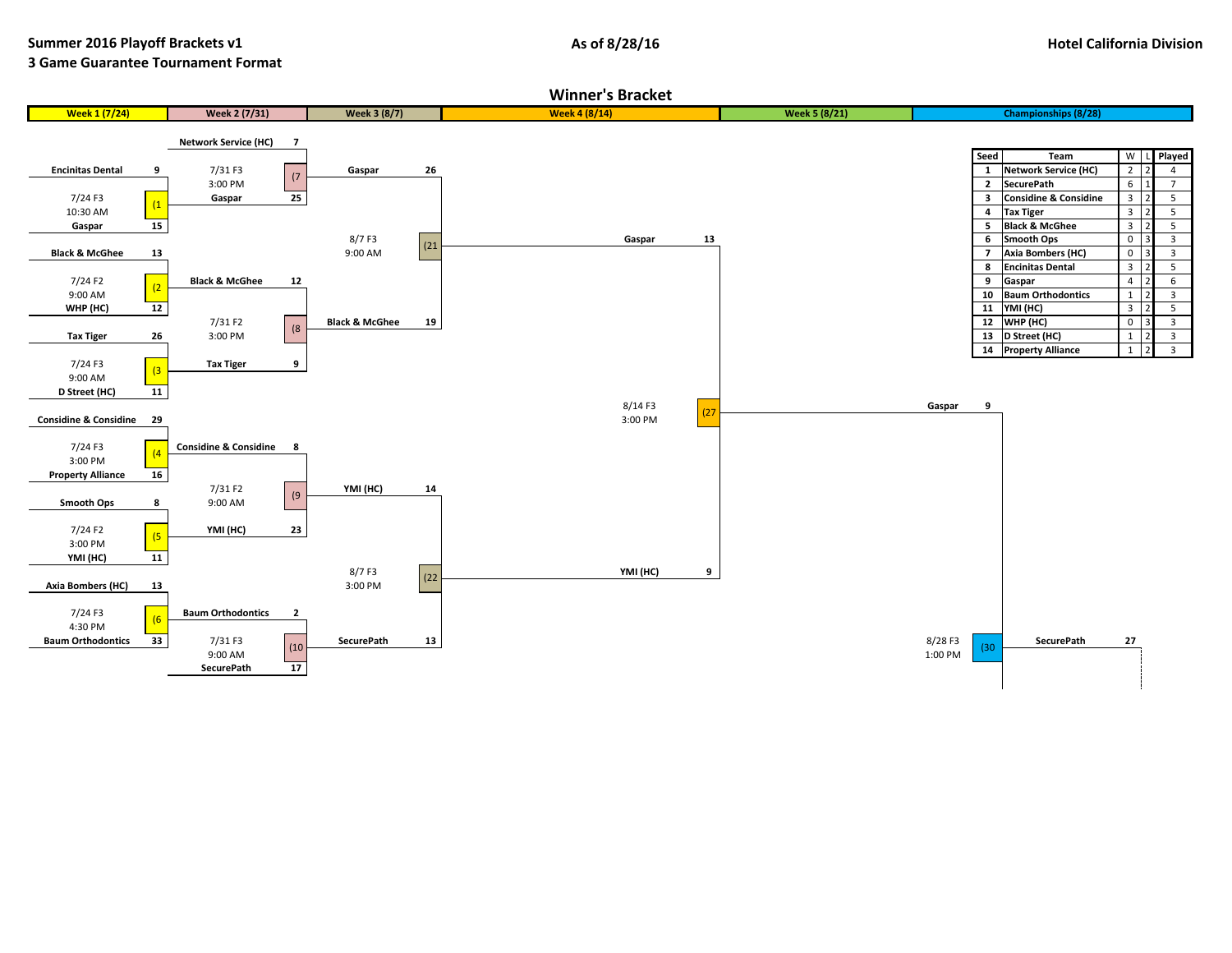## **3 Game Guarantee Tournament Format**